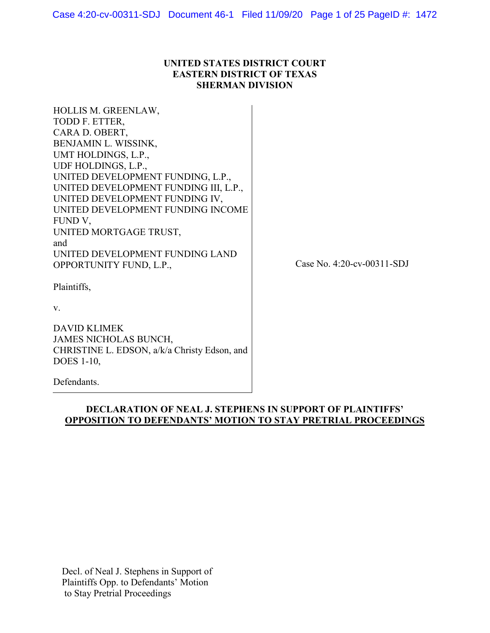#### **UNITED STATES DISTRICT COURT EASTERN DISTRICT OF TEXAS SHERMAN DIVISION**

HOLLIS M. GREENLAW, TODD F. ETTER, CARA D. OBERT, BENJAMIN L. WISSINK, UMT HOLDINGS, L.P., UDF HOLDINGS, L.P., UNITED DEVELOPMENT FUNDING, L.P., UNITED DEVELOPMENT FUNDING III, L.P., UNITED DEVELOPMENT FUNDING IV, UNITED DEVELOPMENT FUNDING INCOME FUND V, UNITED MORTGAGE TRUST, and UNITED DEVELOPMENT FUNDING LAND OPPORTUNITY FUND, L.P.,

Case No. 4:20-cv-00311-SDJ

Plaintiffs,

v.

DAVID KLIMEK JAMES NICHOLAS BUNCH, CHRISTINE L. EDSON, a/k/a Christy Edson, and DOES 1-10,

Defendants.

#### **DECLARATION OF NEAL J. STEPHENS IN SUPPORT OF PLAINTIFFS' OPPOSITION TO DEFENDANTS' MOTION TO STAY PRETRIAL PROCEEDINGS**

Decl. of Neal J. Stephens in Support of Plaintiffs Opp. to Defendants' Motion to Stay Pretrial Proceedings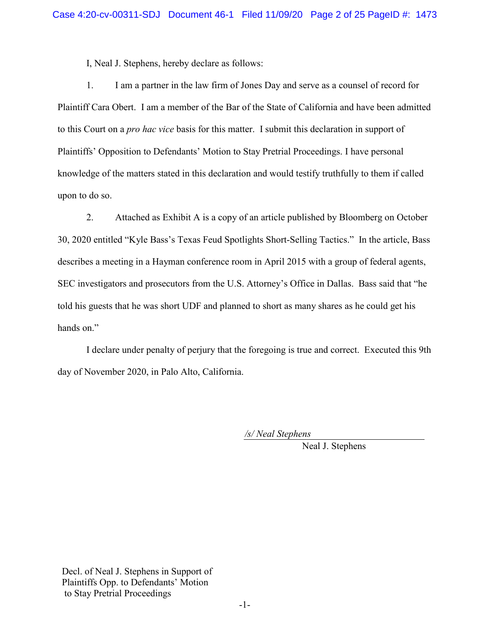I, Neal J. Stephens, hereby declare as follows:

1. I am a partner in the law firm of Jones Day and serve as a counsel of record for Plaintiff Cara Obert. I am a member of the Bar of the State of California and have been admitted to this Court on a *pro hac vice* basis for this matter. I submit this declaration in support of Plaintiffs' Opposition to Defendants' Motion to Stay Pretrial Proceedings. I have personal knowledge of the matters stated in this declaration and would testify truthfully to them if called upon to do so.

2. Attached as Exhibit A is a copy of an article published by Bloomberg on October 30, 2020 entitled "Kyle Bass's Texas Feud Spotlights Short-Selling Tactics." In the article, Bass describes a meeting in a Hayman conference room in April 2015 with a group of federal agents, SEC investigators and prosecutors from the U.S. Attorney's Office in Dallas. Bass said that "he told his guests that he was short UDF and planned to short as many shares as he could get his hands on."

I declare under penalty of perjury that the foregoing is true and correct. Executed this 9th day of November 2020, in Palo Alto, California.

*/s/ Neal Stephens* 

Neal J. Stephens

Decl. of Neal J. Stephens in Support of Plaintiffs Opp. to Defendants' Motion to Stay Pretrial Proceedings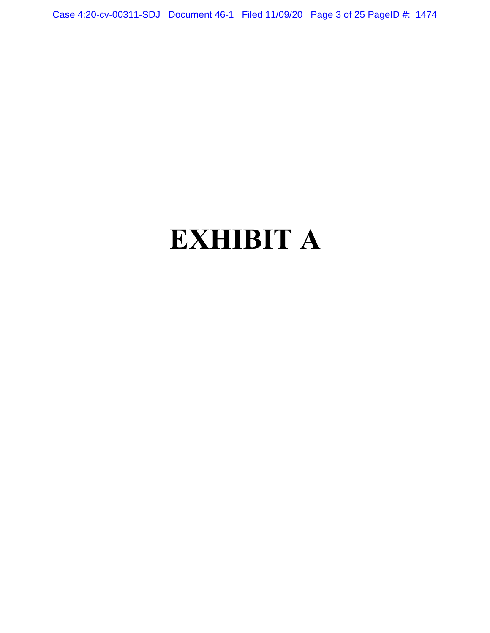Case 4:20-cv-00311-SDJ Document 46-1 Filed 11/09/20 Page 3 of 25 PageID #: 1474

## **EXHIBIT A**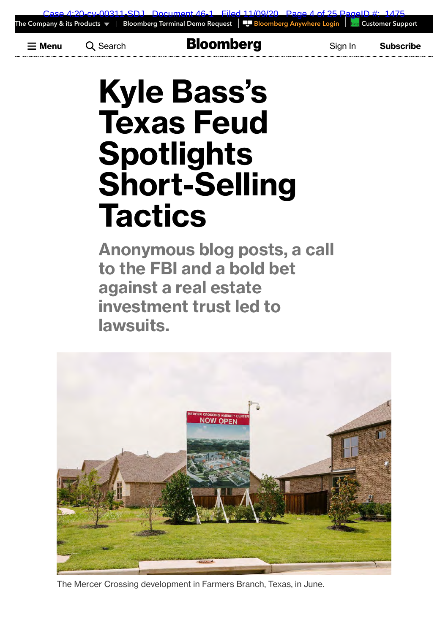**Menu** Search Bloomberg Sign In **Subscribe**

# **Kyle Bass's Texas Feud Spotlights Short-Selling Tactics**

**Anonymous blog posts, a call to the FBI and a bold bet against a real estate investment trust led to lawsuits.**



The Mercer Crossing development in Farmers Branch, Texas, in June.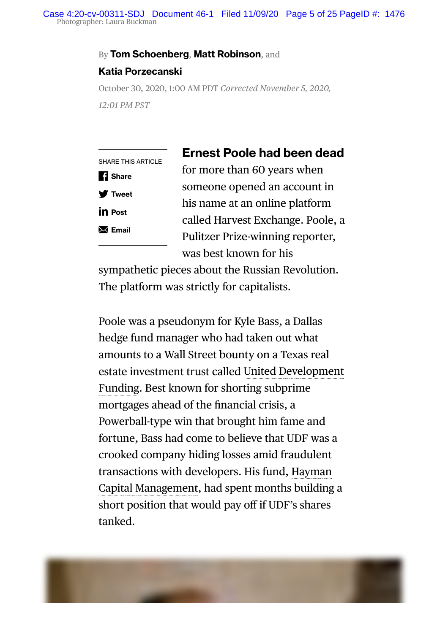#### By Tom Schoenberg, Matt Robinson, and

#### **Katia Porzecanski**

October 30, 2020, 1:00 AM PDT *Corrected November 5, 2020, 12:01 PM PST*

|                           | <b>Ernest Poole had been dead</b> |
|---------------------------|-----------------------------------|
| <b>SHARE THIS ARTICLE</b> | for more than 60 years when       |
| <b>1</b> Share            | someone opened an account in      |
| <b>V</b> Tweet            | his name at an online platform    |
| <b>in</b> Post            | called Harvest Exchange. Poole, a |
| $\mathsf{M}$ Email        | Pulitzer Prize-winning reporter,  |
|                           | was best known for his            |
|                           |                                   |

sympathetic pieces about the Russian Revolution. The platform was strictly for capitalists.

Poole was a pseudonym for Kyle Bass, a Dallas hedge fund manager who had taken out what amounts to a Wall Street bounty on a Texas real estate investment trust called United Development Funding. Best known for shorting subprime mortgages ahead of the financial crisis, a Powerball-type win that brought him fame and fortune, Bass had come to believe that UDF was a crooked company hiding losses amid fraudulent transactions with developers. His fund, Hayman Capital Management, had spent months building a short position that would pay off if UDF's shares tanked.

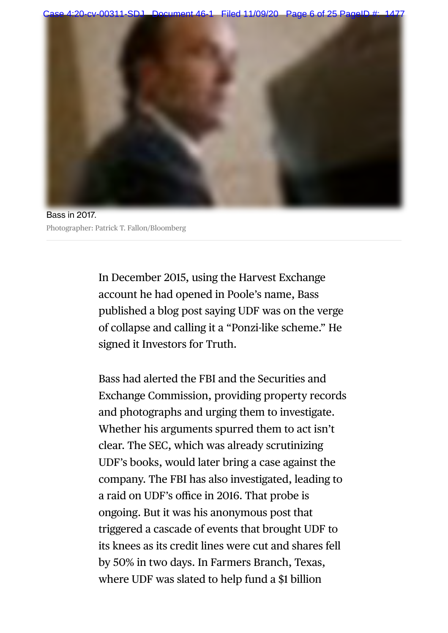00311-SDJ Document 46-1 Filed 11/09/20 Page 6 of 25





In December 2015, using the Harvest Exchange account he had opened in Poole's name, Bass published a blog post saying UDF was on the verge of collapse and calling it a "Ponzi-like scheme." He signed it Investors for Truth.

Bass had alerted the FBI and the Securities and Exchange Commission, providing property records and photographs and urging them to investigate. Whether his arguments spurred them to act isn't clear. The SEC, which was already scrutinizing UDF's books, would later bring a case against the company. The FBI has also investigated, leading to a raid on UDF's office in 2016. That probe is ongoing. But it was his anonymous post that triggered a cascade of events that brought UDF to its knees as its credit lines were cut and shares fell by 50% in two days. In Farmers Branch, Texas, where UDF was slated to help fund a \$1 billion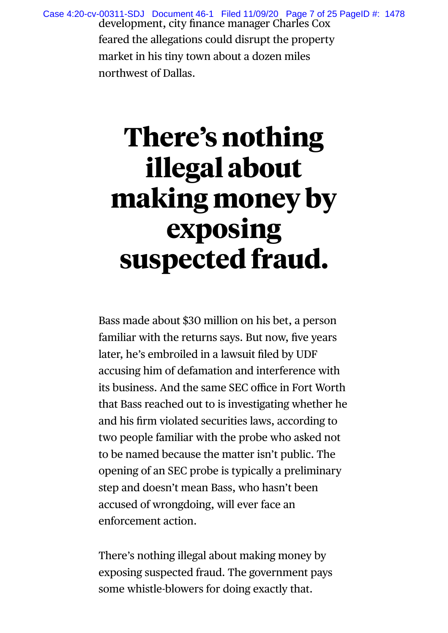development, city finance manager Charles Cox feared the allegations could disrupt the property market in his tiny town about a dozen miles northwest of Dallas. Case 4:20-cv-00311-SDJ Document 46-1 Filed 11/09/20 Page 7 of 25 PageID #: 1478

## **There's nothing illegal about making money by exposing suspected fraud.**

Bass made about \$30 million on his bet, a person familiar with the returns says. But now, five years later, he's embroiled in a lawsuit filed by UDF accusing him of defamation and interference with its business. And the same SEC office in Fort Worth that Bass reached out to is investigating whether he and his firm violated securities laws, according to two people familiar with the probe who asked not to be named because the matter isn't public. The opening of an SEC probe is typically a preliminary step and doesn't mean Bass, who hasn't been accused of wrongdoing, will ever face an enforcement action.

There's nothing illegal about making money by exposing suspected fraud. The government pays some whistle-blowers for doing exactly that.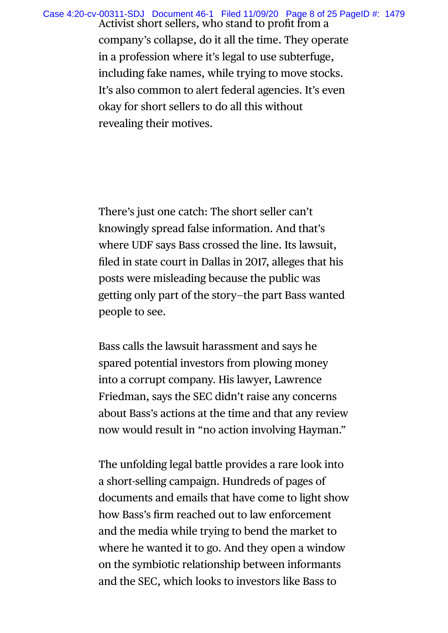Activist short sellers, who stand to profit from a company's collapse, do it all the time. They operate in a profession where it's legal to use subterfuge, including fake names, while trying to move stocks. It's also common to alert federal agencies. It's even okay for short sellers to do all this without revealing their motives. Case 4:20-cv-00311-SDJ Document 46-1 Filed 11/09/20 Page 8 of 25 PageID #: 1479

> There's just one catch: The short seller can't knowingly spread false information. And that's where UDF says Bass crossed the line. Its lawsuit, filed in state court in Dallas in 2017, alleges that his posts were misleading because the public was getting only part of the story—the part Bass wanted people to see.

Bass calls the lawsuit harassment and says he spared potential investors from plowing money into a corrupt company. His lawyer, Lawrence Friedman, says the SEC didn't raise any concerns about Bass's actions at the time and that any review now would result in "no action involving Hayman."

The unfolding legal battle provides a rare look into a short-selling campaign. Hundreds of pages of documents and emails that have come to light show how Bass's firm reached out to law enforcement and the media while trying to bend the market to where he wanted it to go. And they open a window on the symbiotic relationship between informants and the SEC, which looks to investors like Bass to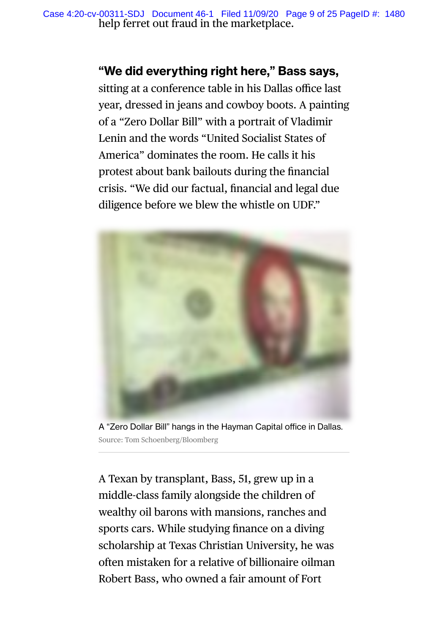help ferret out fraud in the marketplace. Case 4:20-cv-00311-SDJ Document 46-1 Filed 11/09/20 Page 9 of 25 PageID #: 1480

### **"We did everything right here," Bass says,**

sitting at a conference table in his Dallas office last year, dressed in jeans and cowboy boots. A painting of a "Zero Dollar Bill" with a portrait of Vladimir Lenin and the words "United Socialist States of America" dominates the room. He calls it his protest about bank bailouts during the financial crisis. "We did our factual, financial and legal due diligence before we blew the whistle on UDF."



A "Zero Dollar Bill" hangs in the Hayman Capital office in Dallas. Source: Tom Schoenberg/Bloomberg

A Texan by transplant, Bass, 51, grew up in a middle-class family alongside the children of wealthy oil barons with mansions, ranches and sports cars. While studying finance on a diving scholarship at Texas Christian University, he was often mistaken for a relative of billionaire oilman Robert Bass, who owned a fair amount of Fort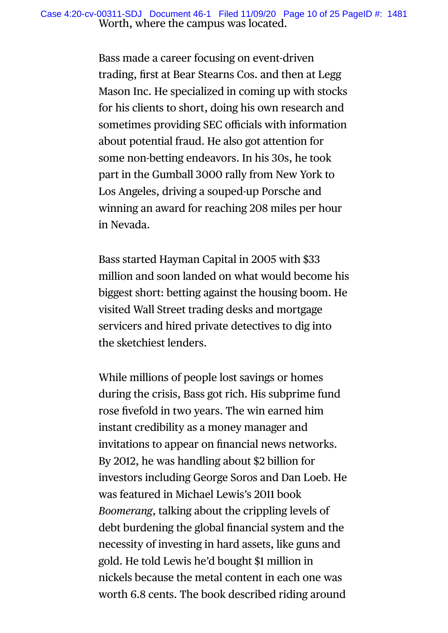Bass made a career focusing on event-driven trading, first at Bear Stearns Cos. and then at Legg Mason Inc. He specialized in coming up with stocks for his clients to short, doing his own research and sometimes providing SEC officials with information about potential fraud. He also got attention for some non-betting endeavors. In his 30s, he took part in the Gumball 3000 rally from New York to Los Angeles, driving a souped-up Porsche and winning an award for reaching 208 miles per hour in Nevada.

Bass started Hayman Capital in 2005 with \$33 million and soon landed on what would become his biggest short: betting against the housing boom. He visited Wall Street trading desks and mortgage servicers and hired private detectives to dig into the sketchiest lenders.

While millions of people lost savings or homes during the crisis, Bass got rich. His subprime fund rose fivefold in two years. The win earned him instant credibility as a money manager and invitations to appear on financial news networks. By 2012, he was handling about \$2 billion for investors including George Soros and Dan Loeb. He was featured in Michael Lewis's 2011 book *Boomerang*, talking about the crippling levels of debt burdening the global financial system and the necessity of investing in hard assets, like guns and gold. He told Lewis he'd bought \$1 million in nickels because the metal content in each one was worth 6.8 cents. The book described riding around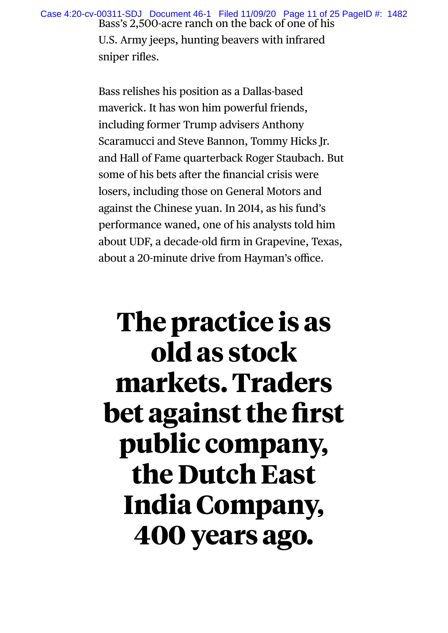Bass's 2,500-acre ranch on the back of one of his U.S. Army jeeps, hunting beavers with infrared Case 4:20-cv-00311-SDJ Document 46-1 Filed 11/09/20 Page 11 of 25 PageID #: 1482

sniper rifles.

Bass relishes his position as a Dallas-based maverick. It has won him powerful friends, including former Trump advisers Anthony Scaramucci and Steve Bannon, Tommy Hicks Jr. and Hall of Fame quarterback Roger Staubach. But some of his bets after the financial crisis were losers, including those on General Motors and against the Chinese yuan. In 2014, as his fund's performance waned, one of his analysts told him about UDF, a decade-old firm in Grapevine, Texas, about a 20-minute drive from Hayman's office.

## **The practice is as old as stock markets. Traders bet against the first public company, the Dutch East India Company, 400 years ago.**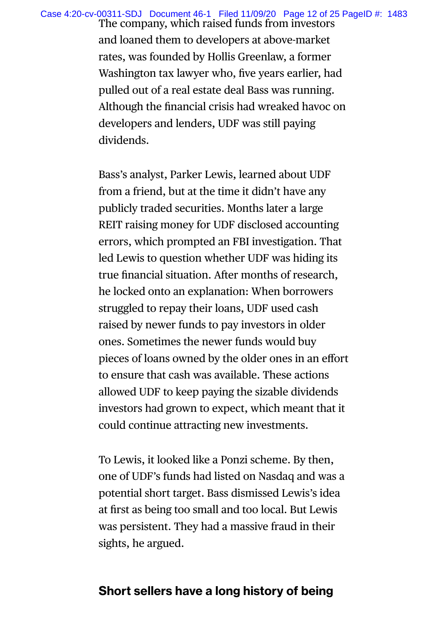Case 4:20-cv-00311-SDJ Document 46-1 Filed 11/09/20 Page 12 of 25 PageID #: 1483

The company, which raised funds from investors and loaned them to developers at above-market rates, was founded by Hollis Greenlaw, a former Washington tax lawyer who, five years earlier, had pulled out of a real estate deal Bass was running. Although the financial crisis had wreaked havoc on developers and lenders, UDF was still paying dividends.

Bass's analyst, Parker Lewis, learned about UDF from a friend, but at the time it didn't have any publicly traded securities. Months later a large REIT raising money for UDF disclosed accounting errors, which prompted an FBI investigation. That led Lewis to question whether UDF was hiding its true financial situation. After months of research, he locked onto an explanation: When borrowers struggled to repay their loans, UDF used cash raised by newer funds to pay investors in older ones. Sometimes the newer funds would buy pieces of loans owned by the older ones in an effort to ensure that cash was available. These actions allowed UDF to keep paying the sizable dividends investors had grown to expect, which meant that it could continue attracting new investments.

To Lewis, it looked like a Ponzi scheme. By then, one of UDF's funds had listed on Nasdaq and was a potential short target. Bass dismissed Lewis's idea at first as being too small and too local. But Lewis was persistent. They had a massive fraud in their sights, he argued.

### **Short sellers have a long history of being**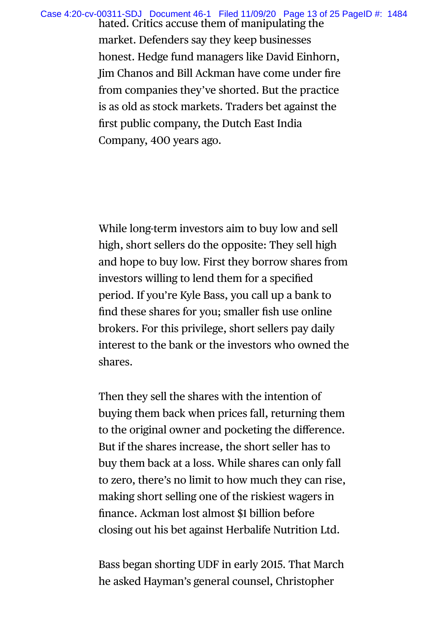Case 4:20-cv-00311-SDJ Document 46-1 Filed 11/09/20 Page 13 of 25 PageID #: 1484

hated. Critics accuse them of manipulating the market. Defenders say they keep businesses honest. Hedge fund managers like David Einhorn, Jim Chanos and Bill Ackman have come under fire from companies they've shorted. But the practice is as old as stock markets. Traders bet against the first public company, the Dutch East India Company, 400 years ago.

While long-term investors aim to buy low and sell high, short sellers do the opposite: They sell high and hope to buy low. First they borrow shares from investors willing to lend them for a specified period. If you're Kyle Bass, you call up a bank to find these shares for you; smaller fish use online brokers. For this privilege, short sellers pay daily interest to the bank or the investors who owned the shares.

Then they sell the shares with the intention of buying them back when prices fall, returning them to the original owner and pocketing the difference. But if the shares increase, the short seller has to buy them back at a loss. While shares can only fall to zero, there's no limit to how much they can rise, making short selling one of the riskiest wagers in finance. Ackman lost almost \$1 billion before closing out his bet against Herbalife Nutrition Ltd.

Bass began shorting UDF in early 2015. That March he asked Hayman's general counsel, Christopher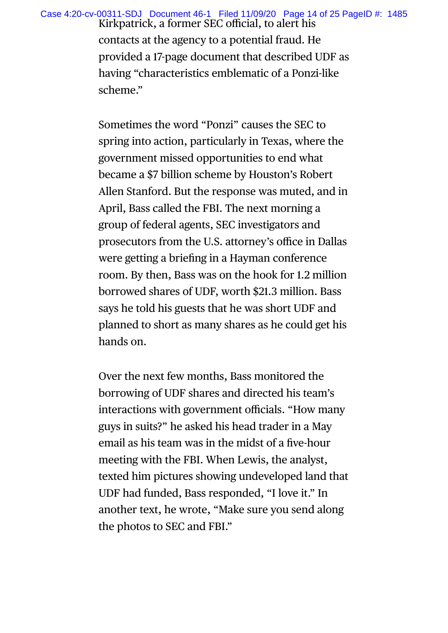Case 4:20-cv-00311-SDJ Document 46-1 Filed 11/09/20 Page 14 of 25 PageID #: 1485

Kirkpatrick, a former SEC official, to alert his contacts at the agency to a potential fraud. He provided a 17-page document that described UDF as having "characteristics emblematic of a Ponzi-like scheme."

Sometimes the word "Ponzi" causes the SEC to spring into action, particularly in Texas, where the government missed opportunities to end what became a \$7 billion scheme by Houston's Robert Allen Stanford. But the response was muted, and in April, Bass called the FBI. The next morning a group of federal agents, SEC investigators and prosecutors from the U.S. attorney's office in Dallas were getting a briefing in a Hayman conference room. By then, Bass was on the hook for 1.2 million borrowed shares of UDF, worth \$21.3 million. Bass says he told his guests that he was short UDF and planned to short as many shares as he could get his hands on.

Over the next few months, Bass monitored the borrowing of UDF shares and directed his team's interactions with government officials. "How many guys in suits?" he asked his head trader in a May email as his team was in the midst of a five-hour meeting with the FBI. When Lewis, the analyst, texted him pictures showing undeveloped land that UDF had funded, Bass responded, "I love it." In another text, he wrote, "Make sure you send along the photos to SEC and FBI."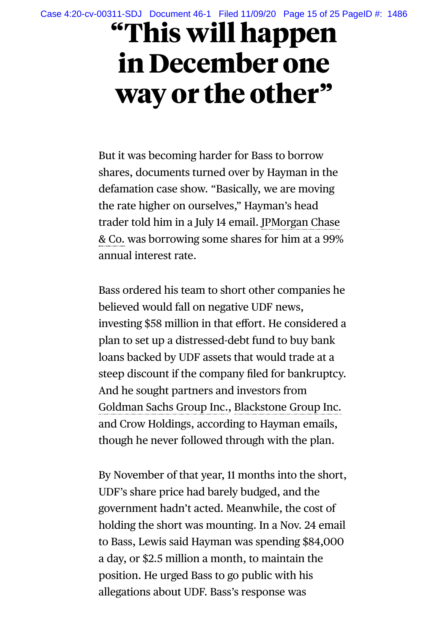## **"This will happen in December one way or the other"**

But it was becoming harder for Bass to borrow shares, documents turned over by Hayman in the defamation case show. "Basically, we are moving the rate higher on ourselves," Hayman's head trader told him in a July 14 email. JPMorgan Chase & Co. was borrowing some shares for him at a 99% annual interest rate.

Bass ordered his team to short other companies he believed would fall on negative UDF news, investing \$58 million in that effort. He considered a plan to set up a distressed-debt fund to buy bank loans backed by UDF assets that would trade at a steep discount if the company filed for bankruptcy. And he sought partners and investors from Goldman Sachs Group Inc., Blackstone Group Inc. and Crow Holdings, according to Hayman emails, though he never followed through with the plan.

By November of that year, 11 months into the short, UDF's share price had barely budged, and the government hadn't acted. Meanwhile, the cost of holding the short was mounting. In a Nov. 24 email to Bass, Lewis said Hayman was spending \$84,000 a day, or \$2.5 million a month, to maintain the position. He urged Bass to go public with his allegations about UDF. Bass's response was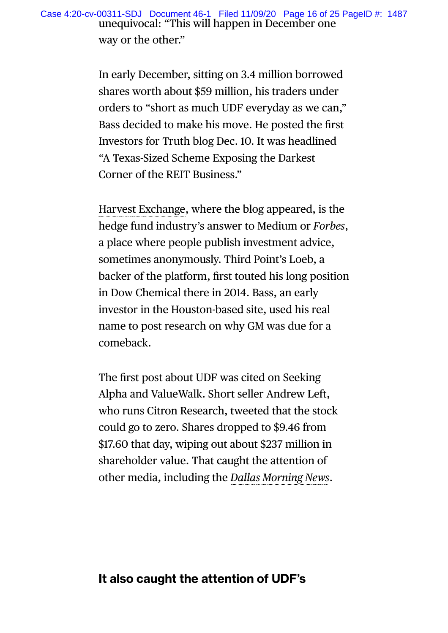In early December, sitting on 3.4 million borrowed shares worth about \$59 million, his traders under orders to "short as much UDF everyday as we can," Bass decided to make his move. He posted the first Investors for Truth blog Dec. 10. It was headlined "A Texas-Sized Scheme Exposing the Darkest Corner of the REIT Business."

Harvest Exchange, where the blog appeared, is the hedge fund industry's answer to Medium or *Forbes*, a place where people publish investment advice, sometimes anonymously. Third Point's Loeb, a backer of the platform, first touted his long position in Dow Chemical there in 2014. Bass, an early investor in the Houston-based site, used his real name to post research on why GM was due for a comeback.

The first post about UDF was cited on Seeking Alpha and ValueWalk. Short seller Andrew Left, who runs Citron Research, tweeted that the stock could go to zero. Shares dropped to \$9.46 from \$17.60 that day, wiping out about \$237 million in shareholder value. That caught the attention of other media, including the *Dallas Morning News*.

### **It also caught the attention of UDF's**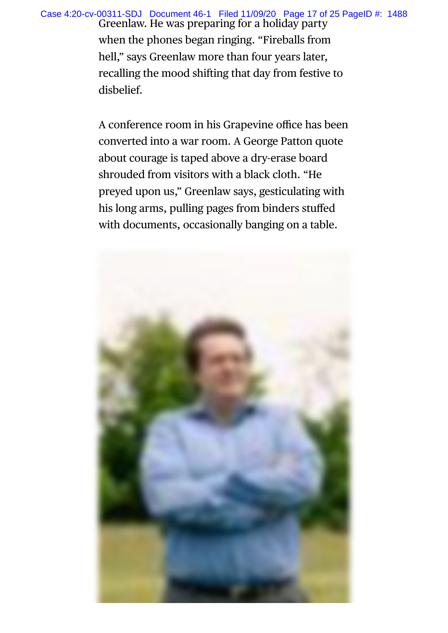Greenlaw. He was preparing for a holiday party when the phones began ringing. "Fireballs from hell," says Greenlaw more than four years later, recalling the mood shifting that day from festive to disbelief. Case 4:20-cv-00311-SDJ Document 46-1 Filed 11/09/20 Page 17 of 25 PageID #: 1488

> A conference room in his Grapevine office has been converted into a war room. A George Patton quote about courage is taped above a dry-erase board shrouded from visitors with a black cloth. "He preyed upon us," Greenlaw says, gesticulating with his long arms, pulling pages from binders stuffed with documents, occasionally banging on a table.

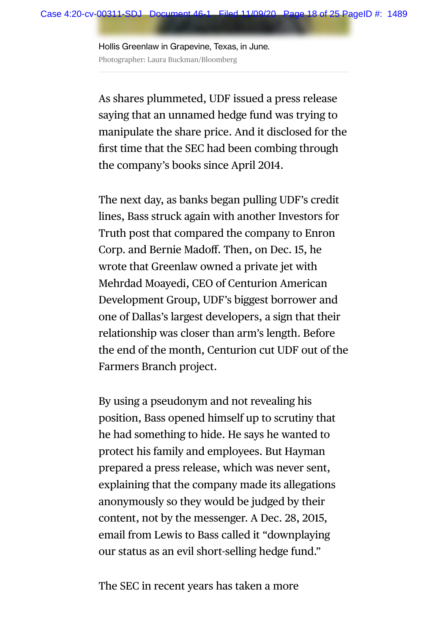Hollis Greenlaw in Grapevine, Texas, in June. Photographer: Laura Buckman/Bloomberg

As shares plummeted, UDF issued a press release saying that an unnamed hedge fund was trying to manipulate the share price. And it disclosed for the first time that the SEC had been combing through the company's books since April 2014.

The next day, as banks began pulling UDF's credit lines, Bass struck again with another Investors for Truth post that compared the company to Enron Corp. and Bernie Madoff. Then, on Dec. 15, he wrote that Greenlaw owned a private jet with Mehrdad Moayedi, CEO of Centurion American Development Group, UDF's biggest borrower and one of Dallas's largest developers, a sign that their relationship was closer than arm's length. Before the end of the month, Centurion cut UDF out of the Farmers Branch project.

By using a pseudonym and not revealing his position, Bass opened himself up to scrutiny that he had something to hide. He says he wanted to protect his family and employees. But Hayman prepared a press release, which was never sent, explaining that the company made its allegations anonymously so they would be judged by their content, not by the messenger. A Dec. 28, 2015, email from Lewis to Bass called it "downplaying our status as an evil short-selling hedge fund."

The SEC in recent years has taken a more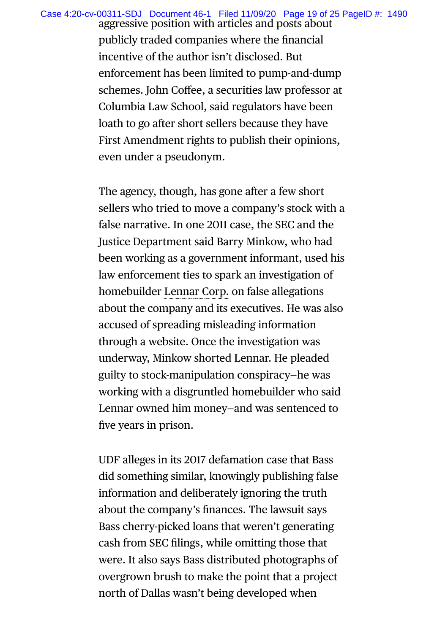Case 4:20-cv-00311-SDJ Document 46-1 Filed 11/09/20 Page 19 of 25 PageID #: 1490

aggressive position with articles and posts about publicly traded companies where the financial incentive of the author isn't disclosed. But enforcement has been limited to pump-and-dump schemes. John Coffee, a securities law professor at Columbia Law School, said regulators have been loath to go after short sellers because they have First Amendment rights to publish their opinions, even under a pseudonym.

The agency, though, has gone after a few short sellers who tried to move a company's stock with a false narrative. In one 2011 case, the SEC and the Justice Department said Barry Minkow, who had been working as a government informant, used his law enforcement ties to spark an investigation of homebuilder Lennar Corp. on false allegations about the company and its executives. He was also accused of spreading misleading information through a website. Once the investigation was underway, Minkow shorted Lennar. He pleaded guilty to stock-manipulation conspiracy—he was working with a disgruntled homebuilder who said Lennar owned him money—and was sentenced to five years in prison.

UDF alleges in its 2017 defamation case that Bass did something similar, knowingly publishing false information and deliberately ignoring the truth about the company's finances. The lawsuit says Bass cherry-picked loans that weren't generating cash from SEC filings, while omitting those that were. It also says Bass distributed photographs of overgrown brush to make the point that a project north of Dallas wasn't being developed when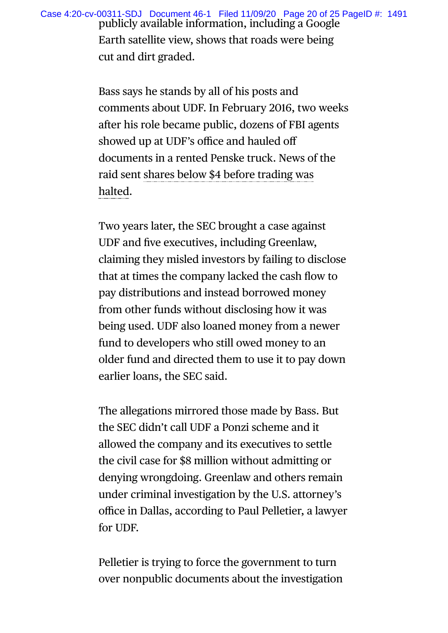publicly available information, including a Google Earth satellite view, shows that roads were being cut and dirt graded. Case 4:20-cv-00311-SDJ Document 46-1 Filed 11/09/20 Page 20 of 25 PageID #: 1491

> Bass says he stands by all of his posts and comments about UDF. In February 2016, two weeks after his role became public, dozens of FBI agents showed up at UDF's office and hauled off documents in a rented Penske truck. News of the raid sent shares below \$4 before trading was halted.

> Two years later, the SEC brought a case against UDF and five executives, including Greenlaw, claiming they misled investors by failing to disclose that at times the company lacked the cash flow to pay distributions and instead borrowed money from other funds without disclosing how it was being used. UDF also loaned money from a newer fund to developers who still owed money to an older fund and directed them to use it to pay down earlier loans, the SEC said.

> The allegations mirrored those made by Bass. But the SEC didn't call UDF a Ponzi scheme and it allowed the company and its executives to settle the civil case for \$8 million without admitting or denying wrongdoing. Greenlaw and others remain under criminal investigation by the U.S. attorney's office in Dallas, according to Paul Pelletier, a lawyer for UDF.

Pelletier is trying to force the government to turn over nonpublic documents about the investigation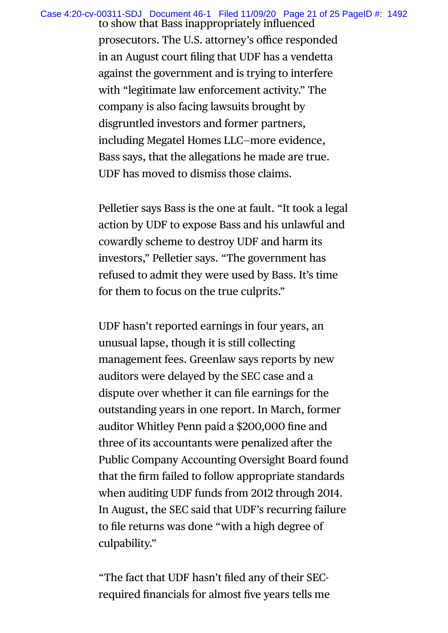Case 4:20-cv-00311-SDJ Document 46-1 Filed 11/09/20 Page 21 of 25 PageID #: 1492

to show that Bass inappropriately influenced prosecutors. The U.S. attorney's office responded in an August court filing that UDF has a vendetta against the government and is trying to interfere with "legitimate law enforcement activity." The company is also facing lawsuits brought by disgruntled investors and former partners, including Megatel Homes LLC—more evidence, Bass says, that the allegations he made are true. UDF has moved to dismiss those claims.

Pelletier says Bass is the one at fault. "It took a legal action by UDF to expose Bass and his unlawful and cowardly scheme to destroy UDF and harm its investors," Pelletier says. "The government has refused to admit they were used by Bass. It's time for them to focus on the true culprits."

UDF hasn't reported earnings in four years, an unusual lapse, though it is still collecting management fees. Greenlaw says reports by new auditors were delayed by the SEC case and a dispute over whether it can file earnings for the outstanding years in one report. In March, former auditor Whitley Penn paid a \$200,000 fine and three of its accountants were penalized after the Public Company Accounting Oversight Board found that the firm failed to follow appropriate standards when auditing UDF funds from 2012 through 2014. In August, the SEC said that UDF's recurring failure to file returns was done "with a high degree of culpability."

"The fact that UDF hasn't filed any of their SECrequired financials for almost five years tells me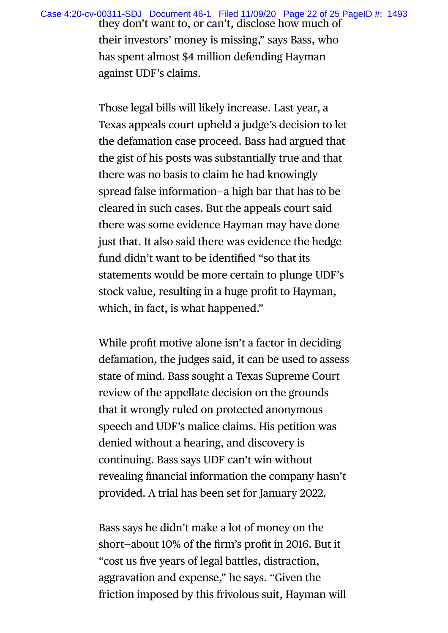they don't want to, or can't, disclose how much of their investors' money is missing," says Bass, who has spent almost \$4 million defending Hayman against UDF's claims. Case 4:20-cv-00311-SDJ Document 46-1 Filed 11/09/20 Page 22 of 25 PageID #: 1493

> Those legal bills will likely increase. Last year, a Texas appeals court upheld a judge's decision to let the defamation case proceed. Bass had argued that the gist of his posts was substantially true and that there was no basis to claim he had knowingly spread false information—a high bar that has to be cleared in such cases. But the appeals court said there was some evidence Hayman may have done just that. It also said there was evidence the hedge fund didn't want to be identified "so that its statements would be more certain to plunge UDF's stock value, resulting in a huge profit to Hayman, which, in fact, is what happened."

> While profit motive alone isn't a factor in deciding defamation, the judges said, it can be used to assess state of mind. Bass sought a Texas Supreme Court review of the appellate decision on the grounds that it wrongly ruled on protected anonymous speech and UDF's malice claims. His petition was denied without a hearing, and discovery is continuing. Bass says UDF can't win without revealing financial information the company hasn't provided. A trial has been set for January 2022.

Bass says he didn't make a lot of money on the short—about 10% of the firm's profit in 2016. But it "cost us five years of legal battles, distraction, aggravation and expense," he says. "Given the friction imposed by this frivolous suit, Hayman will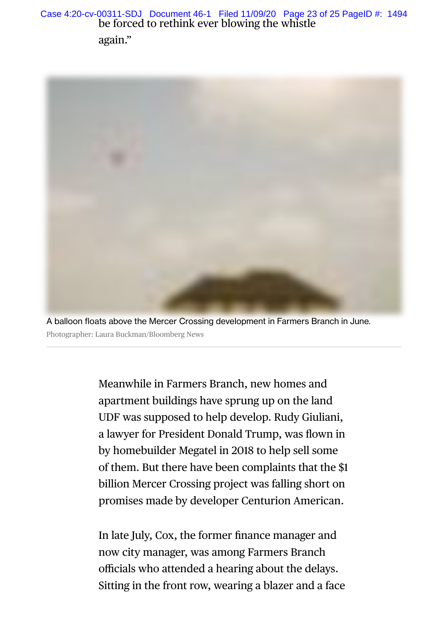be forced to rethink ever blowing the whistle Case 4:20-cv-00311-SDJ Document 46-1 Filed 11/09/20 Page 23 of 25 PageID #: 1494

again."



A balloon floats above the Mercer Crossing development in Farmers Branch in June. Photographer: Laura Buckman/Bloomberg News

> Meanwhile in Farmers Branch, new homes and apartment buildings have sprung up on the land UDF was supposed to help develop. Rudy Giuliani, a lawyer for President Donald Trump, was flown in by homebuilder Megatel in 2018 to help sell some of them. But there have been complaints that the \$1 billion Mercer Crossing project was falling short on promises made by developer Centurion American.

In late July, Cox, the former finance manager and now city manager, was among Farmers Branch officials who attended a hearing about the delays. Sitting in the front row, wearing a blazer and a face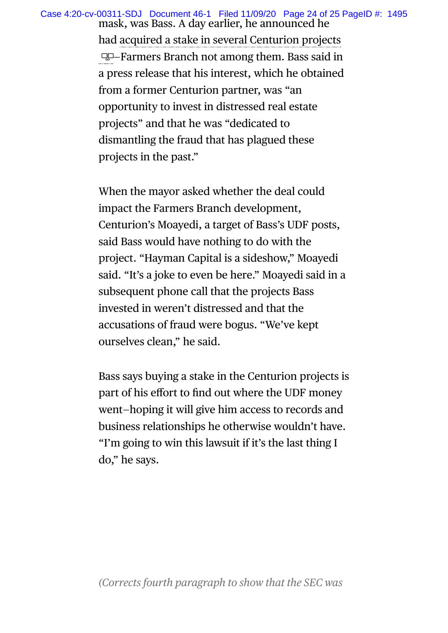mask, was Bass. A day earlier, he announced he Case 4:20-cv-00311-SDJ Document 46-1 Filed 11/09/20 Page 24 of 25 PageID #: 1495

had acquired a stake in several Centurion projects —Farmers Branch not among them. Bass said in a press release that his interest, which he obtained from a former Centurion partner, was "an opportunity to invest in distressed real estate projects" and that he was "dedicated to dismantling the fraud that has plagued these projects in the past."

When the mayor asked whether the deal could impact the Farmers Branch development, Centurion's Moayedi, a target of Bass's UDF posts, said Bass would have nothing to do with the project. "Hayman Capital is a sideshow," Moayedi said. "It's a joke to even be here." Moayedi said in a subsequent phone call that the projects Bass invested in weren't distressed and that the accusations of fraud were bogus. "We've kept ourselves clean," he said.

Bass says buying a stake in the Centurion projects is part of his effort to find out where the UDF money went—hoping it will give him access to records and business relationships he otherwise wouldn't have. "I'm going to win this lawsuit if it's the last thing I do," he says.

### *(Corrects fourth paragraph to show that the SEC was*